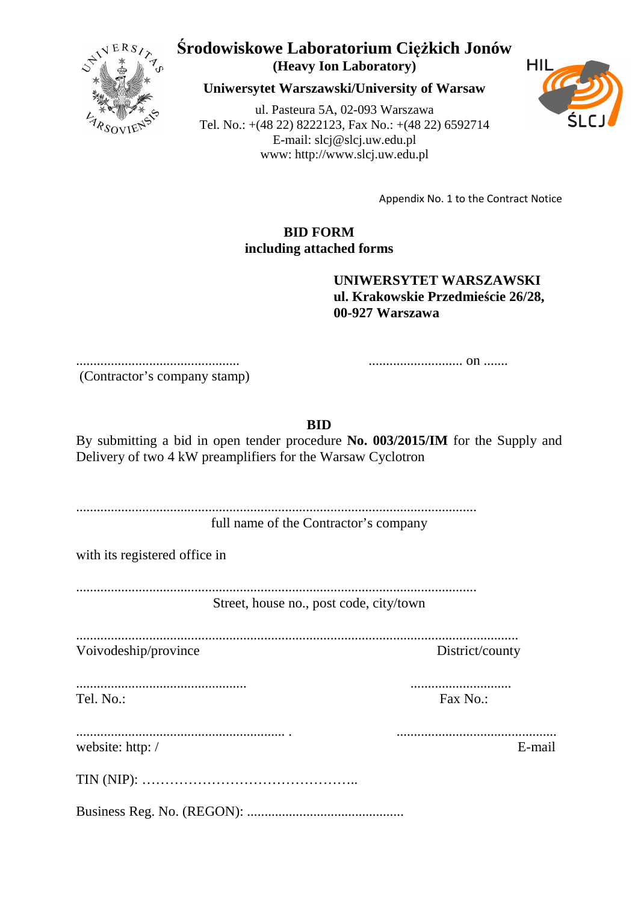

## **Środowiskowe Laboratorium Ciężkich Jonów (Heavy Ion Laboratory)**

**Uniwersytet Warszawski/University of Warsaw**

ul. Pasteura 5A, 02-093 Warszawa Tel. No.: +(48 22) 8222123, Fax No.: +(48 22) 6592714 E-mail: slcj@slcj.uw.edu.pl www: http://www.slcj.uw.edu.pl



Appendix No. 1 to the Contract Notice

## **BID FORM including attached forms**

**UNIWERSYTET WARSZAWSKI ul. Krakowskie Przedmieście 26/28, 00-927 Warszawa** 

(Contractor's company stamp)

............................................... ........................... on .......

**BID** 

By submitting a bid in open tender procedure **No. 003/2015/IM** for the Supply and Delivery of two 4 kW preamplifiers for the Warsaw Cyclotron

| full name of the Contractor's company |
|---------------------------------------|

with its registered office in

................................................................................................................... Street, house no., post code, city/town

...............................................................................................................................

Voivodeship/province District/county

................................................. ............................. Tel. No.: Fax No.:

| website: http:/ | E-mail |
|-----------------|--------|

............................................................ . ..............................................

|--|--|

Business Reg. No. (REGON): .............................................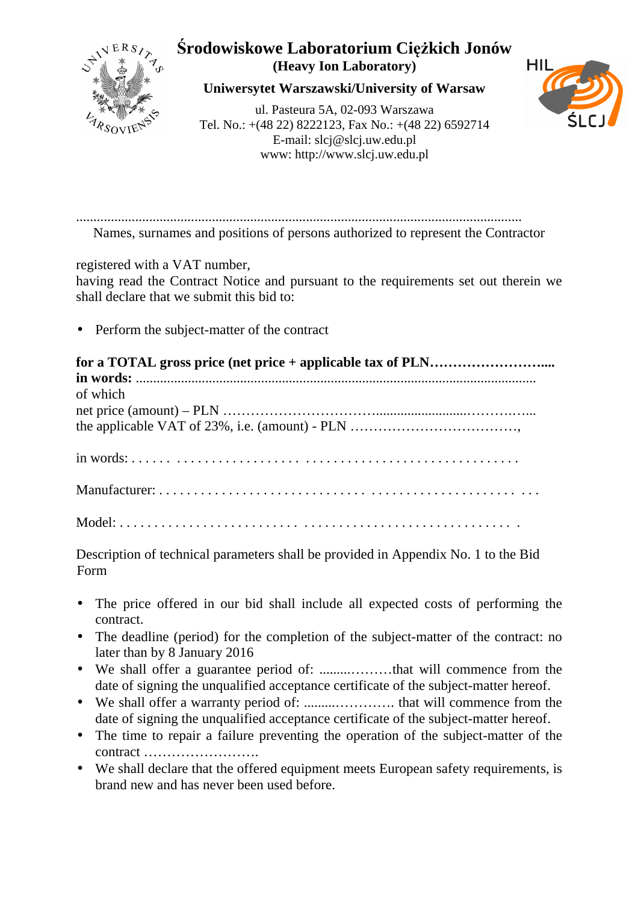

## Środowiskowe Laboratorium Ciężkich Jonów (Heavy Ion Laboratory)

Uniwersytet Warszawski/University of Warsaw

ul. Pasteura 5A, 02-093 Warszawa Tel. No.: +(48 22) 8222123, Fax No.: +(48 22) 6592714 E-mail:  $slcj@slcj.uw.edu.pl$ www: http://www.slcj.uw.edu.pl



Names, surnames and positions of persons authorized to represent the Contractor

registered with a VAT number,

having read the Contract Notice and pursuant to the requirements set out therein we shall declare that we submit this bid to:

• Perform the subject-matter of the contract

| of which |
|----------|
|          |
|          |
|          |
|          |

Description of technical parameters shall be provided in Appendix No. 1 to the Bid Form

- The price offered in our bid shall include all expected costs of performing the contract.
- The deadline (period) for the completion of the subject-matter of the contract: no later than by 8 January 2016
- date of signing the unqualified acceptance certificate of the subject-matter hereof.
- date of signing the unqualified acceptance certificate of the subject-matter hereof.
- The time to repair a failure preventing the operation of the subject-matter of the
- We shall declare that the offered equipment meets European safety requirements, is brand new and has never been used before.